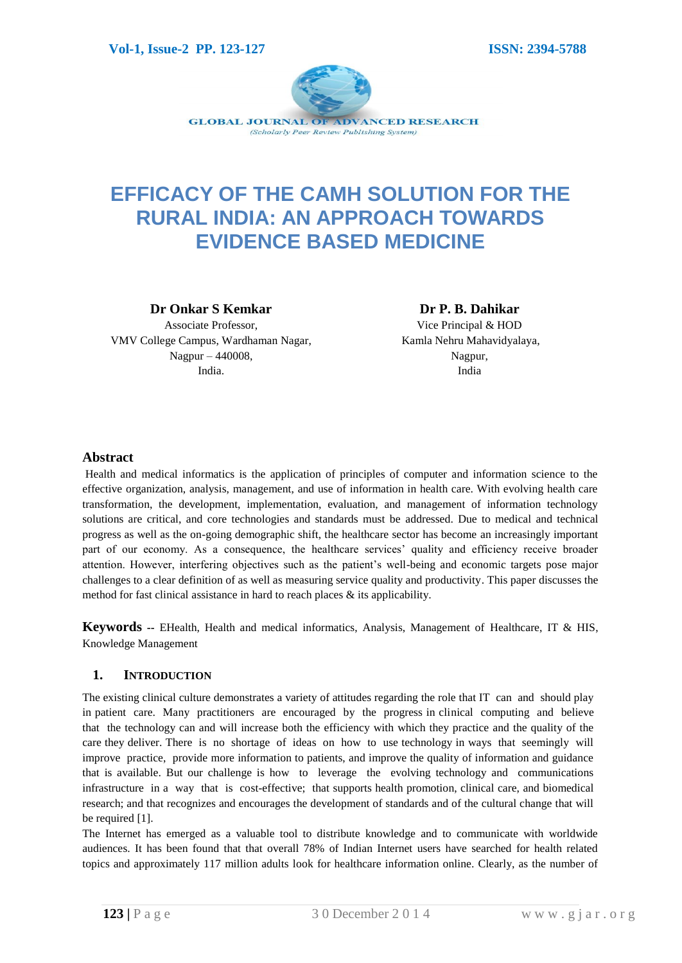

# **EFFICACY OF THE CAMH SOLUTION FOR THE RURAL INDIA: AN APPROACH TOWARDS EVIDENCE BASED MEDICINE**

**Dr Onkar S Kemkar**

Associate Professor, VMV College Campus, Wardhaman Nagar, Nagpur – 440008, India.

**Dr P. B. Dahikar**

Vice Principal & HOD Kamla Nehru Mahavidyalaya, Nagpur, India

# **Abstract**

Health and medical informatics is the application of principles of computer and information science to the effective organization, analysis, management, and use of information in health care. With evolving health care transformation, the development, implementation, evaluation, and management of information technology solutions are critical, and core technologies and standards must be addressed. Due to medical and technical progress as well as the on-going demographic shift, the healthcare sector has become an increasingly important part of our economy. As a consequence, the healthcare services' quality and efficiency receive broader attention. However, interfering objectives such as the patient's well-being and economic targets pose major challenges to a clear definition of as well as measuring service quality and productivity. This paper discusses the method for fast clinical assistance in hard to reach places & its applicability.

**Keywords --** EHealth, Health and medical informatics, Analysis, Management of Healthcare, IT & HIS, Knowledge Management

# **1. INTRODUCTION**

The existing clinical culture demonstrates a variety of attitudes regarding the role that IT can and should play in patient care. Many practitioners are encouraged by the progress in clinical computing and believe that the technology can and will increase both the efficiency with which they practice and the quality of the care they deliver. There is no shortage of ideas on how to use technology in ways that seemingly will improve practice, provide more information to patients, and improve the quality of information and guidance that is available. But our challenge is how to leverage the evolving technology and communications infrastructure in a way that is cost-effective; that supports health promotion, clinical care, and biomedical research; and that recognizes and encourages the development of standards and of the cultural change that will be required [1].

The Internet has emerged as a valuable tool to distribute knowledge and to communicate with worldwide audiences. It has been found that that overall 78% of Indian Internet users have searched for health related topics and approximately 117 million adults look for healthcare information online. Clearly, as the number of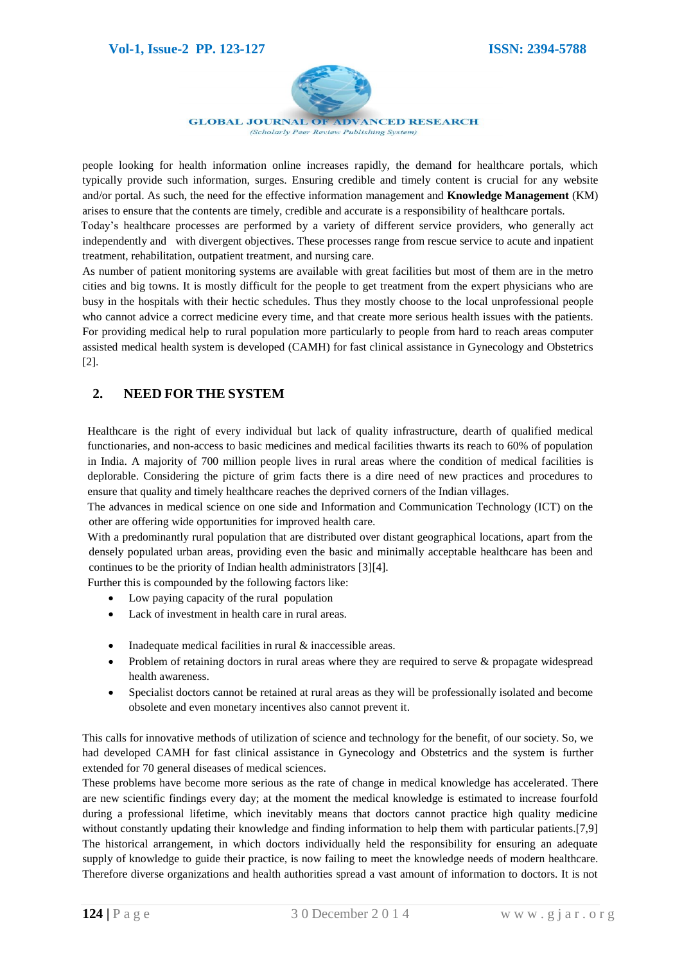

**GLOBAL JOURNAL OF ADVANCED RESEARCH** (Scholarly Peer Review Publishing System)

people looking for health information online increases rapidly, the demand for healthcare portals, which typically provide such information, surges. Ensuring credible and timely content is crucial for any website and/or portal. As such, the need for the effective information management and **Knowledge Management** (KM) arises to ensure that the contents are timely, credible and accurate is a responsibility of healthcare portals.

Today's healthcare processes are performed by a variety of different service providers, who generally act independently and with divergent objectives. These processes range from rescue service to acute and inpatient treatment, rehabilitation, outpatient treatment, and nursing care.

As number of patient monitoring systems are available with great facilities but most of them are in the metro cities and big towns. It is mostly difficult for the people to get treatment from the expert physicians who are busy in the hospitals with their hectic schedules. Thus they mostly choose to the local unprofessional people who cannot advice a correct medicine every time, and that create more serious health issues with the patients. For providing medical help to rural population more particularly to people from hard to reach areas computer assisted medical health system is developed (CAMH) for fast clinical assistance in Gynecology and Obstetrics [2].

# **2. NEED FOR THE SYSTEM**

Healthcare is the right of every individual but lack of quality infrastructure, dearth of qualified medical functionaries, and non-access to basic medicines and medical facilities thwarts its reach to 60% of population in India. A majority of 700 million people lives in rural areas where the condition of medical facilities is deplorable. Considering the picture of grim facts there is a dire need of new practices and procedures to ensure that quality and timely healthcare reaches the deprived corners of the Indian villages.

The advances in medical science on one side and Information and Communication Technology (ICT) on the other are offering wide opportunities for improved health care.

With a predominantly rural population that are distributed over distant geographical locations, apart from the densely populated urban areas, providing even the basic and minimally acceptable healthcare has been and continues to be the priority of Indian health administrators [3][4].

Further this is compounded by the following factors like:

- Low paying capacity of the rural population
- Lack of investment in health care in rural areas.
- Inadequate medical facilities in rural & inaccessible areas.
- Problem of retaining doctors in rural areas where they are required to serve & propagate widespread health awareness.
- Specialist doctors cannot be retained at rural areas as they will be professionally isolated and become obsolete and even monetary incentives also cannot prevent it.

This calls for innovative methods of utilization of science and technology for the benefit, of our society. So, we had developed CAMH for fast clinical assistance in Gynecology and Obstetrics and the system is further extended for 70 general diseases of medical sciences.

These problems have become more serious as the rate of change in medical knowledge has accelerated. There are new scientific findings every day; at the moment the medical knowledge is estimated to increase fourfold during a professional lifetime, which inevitably means that doctors cannot practice high quality medicine without constantly updating their knowledge and finding information to help them with particular patients.[7,9] The historical arrangement, in which doctors individually held the responsibility for ensuring an adequate supply of knowledge to guide their practice, is now failing to meet the knowledge needs of modern healthcare. Therefore diverse organizations and health authorities spread a vast amount of information to doctors. It is not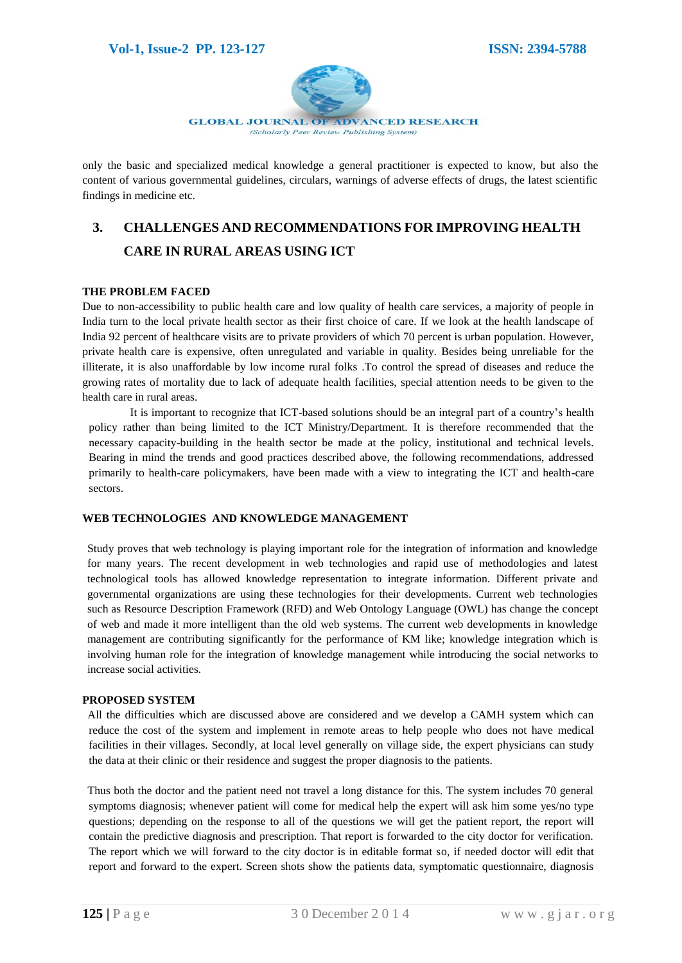#### **Vol-1, Issue-2 PP. 123-127 ISSN: 2394-5788**



**GLOBAL JOURNAL OF ADVANCED RESEARCH** (Scholarly Peer Review Publishing System)

only the basic and specialized medical knowledge a general practitioner is expected to know, but also the content of various governmental guidelines, circulars, warnings of adverse effects of drugs, the latest scientific findings in medicine etc.

# **3. CHALLENGES AND RECOMMENDATIONS FOR IMPROVING HEALTH CARE IN RURAL AREAS USING ICT**

#### **THE PROBLEM FACED**

Due to non-accessibility to public health care and low quality of health care services, a majority of people in India turn to the local private health sector as their first choice of care. If we look at the health landscape of India 92 percent of healthcare visits are to private providers of which 70 percent is urban population. However, private health care is expensive, often unregulated and variable in quality. Besides being unreliable for the illiterate, it is also unaffordable by low income rural folks .To control the spread of diseases and reduce the growing rates of mortality due to lack of adequate health facilities, special attention needs to be given to the health care in rural areas.

It is important to recognize that ICT-based solutions should be an integral part of a country's health policy rather than being limited to the ICT Ministry/Department. It is therefore recommended that the necessary capacity-building in the health sector be made at the policy, institutional and technical levels. Bearing in mind the trends and good practices described above, the following recommendations, addressed primarily to health-care policymakers, have been made with a view to integrating the ICT and health-care sectors.

#### **WEB TECHNOLOGIES AND KNOWLEDGE MANAGEMENT**

Study proves that web technology is playing important role for the integration of information and knowledge for many years. The recent development in web technologies and rapid use of methodologies and latest technological tools has allowed knowledge representation to integrate information. Different private and governmental organizations are using these technologies for their developments. Current web technologies such as Resource Description Framework (RFD) and Web Ontology Language (OWL) has change the concept of web and made it more intelligent than the old web systems. The current web developments in knowledge management are contributing significantly for the performance of KM like; knowledge integration which is involving human role for the integration of knowledge management while introducing the social networks to increase social activities.

#### **PROPOSED SYSTEM**

All the difficulties which are discussed above are considered and we develop a CAMH system which can reduce the cost of the system and implement in remote areas to help people who does not have medical facilities in their villages. Secondly, at local level generally on village side, the expert physicians can study the data at their clinic or their residence and suggest the proper diagnosis to the patients.

Thus both the doctor and the patient need not travel a long distance for this. The system includes 70 general symptoms diagnosis; whenever patient will come for medical help the expert will ask him some yes/no type questions; depending on the response to all of the questions we will get the patient report, the report will contain the predictive diagnosis and prescription. That report is forwarded to the city doctor for verification. The report which we will forward to the city doctor is in editable format so, if needed doctor will edit that report and forward to the expert. Screen shots show the patients data, symptomatic questionnaire, diagnosis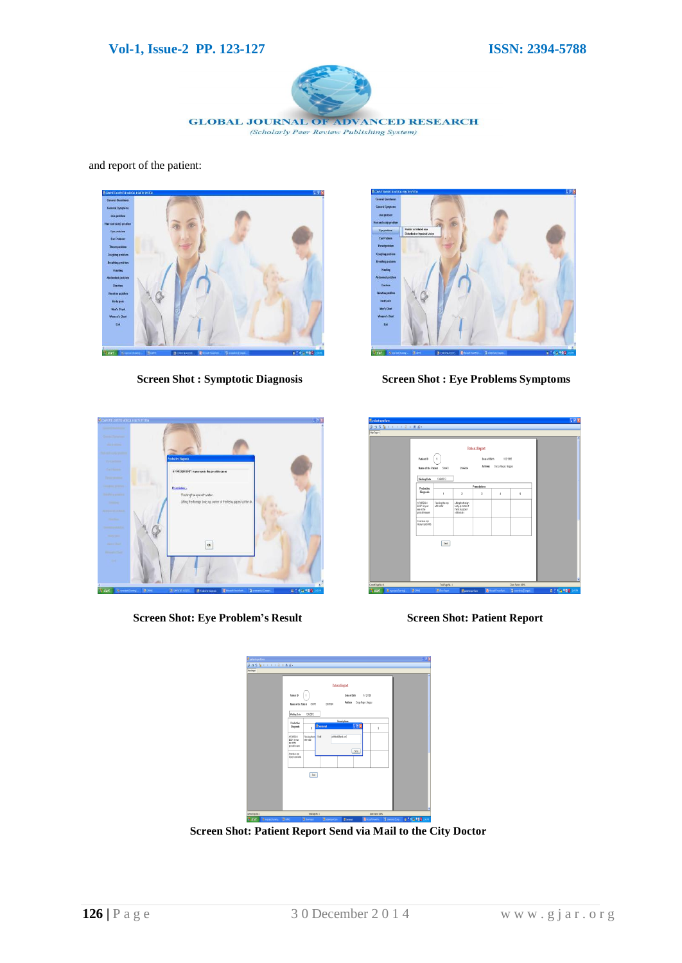#### **Vol-1, Issue-2 PP. 123-127 ISSN: 2394-5788**



and report of the patient:





 **Screen Shot : Symptotic Diagnosis Screen Shot : Eye Problems Symptoms**



**Screen Shot: Eye Problem's Result Screen Shot: Patient Report**

| ни развите доплать                          |                                                                       |                                        |                                                          |                                        |                                          |                       | 国内区              |
|---------------------------------------------|-----------------------------------------------------------------------|----------------------------------------|----------------------------------------------------------|----------------------------------------|------------------------------------------|-----------------------|------------------|
|                                             |                                                                       |                                        |                                                          |                                        |                                          |                       |                  |
| <b>Renault</b>                              |                                                                       |                                        |                                                          |                                        |                                          |                       |                  |
|                                             | Patient ID                                                            | х.<br>Name of the Patient SIGNT        | SHARMA                                                   | <b>Patient Report</b><br>Date of Birth | 1/12/1985<br>Address Durgo Napar, Nagpor |                       | W                |
|                                             | <b>Visiting Date</b>                                                  | 1260312                                |                                                          |                                        |                                          |                       |                  |
|                                             | Predective                                                            |                                        |                                                          | Prescriptions                          |                                          |                       |                  |
|                                             | <b>Nagnesis</b>                                                       | 1                                      | ž                                                        | 3                                      | $\overline{\phantom{a}}$                 | 5                     |                  |
|                                             | <b>AFORBISN</b><br><b>BCCY is your</b><br>ere is the<br>possible rape | Flashing the oye<br>NOWER              | Lifeghetmigh<br>badrus coment<br>helphouse!<br>colorauts |                                        |                                          |                       |                  |
|                                             | A serious ere<br><b>Muniscessible</b>                                 |                                        |                                                          |                                        |                                          |                       |                  |
|                                             |                                                                       | Set                                    |                                                          |                                        |                                          |                       |                  |
|                                             |                                                                       |                                        |                                                          |                                        |                                          |                       |                  |
| Current Page No.: 1                         |                                                                       |                                        | Zem Fador 1879                                           |                                        |                                          |                       |                  |
| <b>By</b> start<br><b>Z</b> woolst (konnel) | <b>B</b> GHS                                                          | Total Page No.: 1<br><b>B</b> Boylogat | <b>B</b> atementin                                       |                                        | <b>Riteset Issehat</b>                   | El severitos (Cingas) | ■ 1 名盛 ■ 18 26 H |

| <b>Epdempotion</b>          |                                                        |                                 |                                 |                                              |                          |                     | $-8x$         |
|-----------------------------|--------------------------------------------------------|---------------------------------|---------------------------------|----------------------------------------------|--------------------------|---------------------|---------------|
| 医难发育不大 人名土西拉                |                                                        |                                 |                                 |                                              |                          |                     |               |
| Reikest                     |                                                        |                                 |                                 |                                              |                          |                     |               |
|                             | Patent ID<br>None of the Patient SIATI                 | $\sim$                          | <b>Patient Report</b><br>SHADMA | Date of Sirfs<br>Address Durgs Napar, Nappor | 1/3/986                  |                     | ь             |
|                             | <b>Visiting Date</b>                                   | 1262012                         |                                 |                                              |                          |                     |               |
|                             | Predective<br>liagueis                                 | f,                              | Ekstenel.                       | Prestiplers<br>F5x                           | $\overline{\phantom{a}}$ |                     |               |
|                             | AFDROOM<br><b>BCOY myoer</b><br>methe<br>scentrio case | Flohing the ey Enal<br>vitority | phiatelypal.com                 | Sed                                          |                          |                     |               |
|                             | Aseless ere<br>injunisoesebe                           |                                 |                                 |                                              |                          |                     |               |
|                             |                                                        | Sent                            |                                 |                                              |                          |                     |               |
|                             |                                                        |                                 |                                 |                                              |                          |                     | ٧             |
| Cover Page 16.13            |                                                        | bbs/Japy/Sc:1                   |                                 |                                              | Inm Fador 1975           |                     |               |
| <b>B</b> start<br>& weekens | <b>B</b> pay                                           | <b>B</b> housing                | <b>Barameter</b>                | <b>B</b> Sedmal                              | <b>Riferent Foreful.</b> | Distanciado (Cons.) | B 186,000 com |

**Screen Shot: Patient Report Send via Mail to the City Doctor**